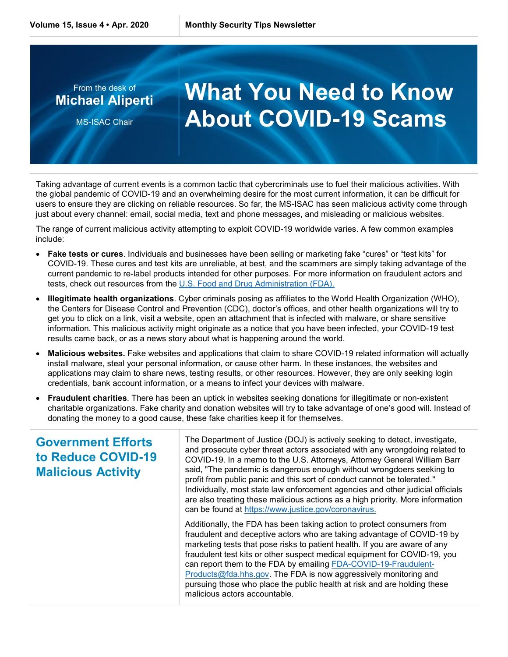

Taking advantage of current events is a common tactic that cybercriminals use to fuel their malicious activities. With the global pandemic of COVID-19 and an overwhelming desire for the most current information, it can be difficult for users to ensure they are clicking on reliable resources. So far, the MS-ISAC has seen malicious activity come through just about every channel: email, social media, text and phone messages, and misleading or malicious websites.

The range of current malicious activity attempting to exploit COVID-19 worldwide varies. A few common examples include:

- **Fake tests or cures**. Individuals and businesses have been selling or marketing fake "cures" or "test kits" for COVID-19. These cures and test kits are unreliable, at best, and the scammers are simply taking advantage of the current pandemic to re-label products intended for other purposes. For more information on fraudulent actors and tests, check out resources from the [U.S. Food and Drug Administration \(FDA\).](https://www.fda.gov/news-events/press-announcements/coronavirus-covid-19-update-fda-alerts-consumers-about-unauthorized-fraudulent-covid-19-test-kits)
- **Illegitimate health organizations**. Cyber criminals posing as affiliates to the World Health Organization (WHO), the Centers for Disease Control and Prevention (CDC), doctor's offices, and other health organizations will try to get you to click on a link, visit a website, open an attachment that is infected with malware, or share sensitive information. This malicious activity might originate as a notice that you have been infected, your COVID-19 test results came back, or as a news story about what is happening around the world.
- **Malicious websites.** Fake websites and applications that claim to share COVID-19 related information will actually install malware, steal your personal information, or cause other harm. In these instances, the websites and applications may claim to share news, testing results, or other resources. However, they are only seeking login credentials, bank account information, or a means to infect your devices with malware.
- **Fraudulent charities**. There has been an uptick in websites seeking donations for illegitimate or non-existent charitable organizations. Fake charity and donation websites will try to take advantage of one's good will. Instead of donating the money to a good cause, these fake charities keep it for themselves.

## **Government Efforts to Reduce COVID-19 Malicious Activity**

The Department of Justice (DOJ) is actively seeking to detect, investigate, and prosecute cyber threat actors associated with any wrongdoing related to COVID-19. In a memo to the U.S. Attorneys, Attorney General William Barr said, "The pandemic is dangerous enough without wrongdoers seeking to profit from public panic and this sort of conduct cannot be tolerated." Individually, most state law enforcement agencies and other judicial officials are also treating these malicious actions as a high priority. More information can be found at [https://www.justice.gov/coronavirus.](https://www.justice.gov/coronavirus)

Additionally, the FDA has been taking action to protect consumers from fraudulent and deceptive actors who are taking advantage of COVID-19 by marketing tests that pose risks to patient health. If you are aware of any fraudulent test kits or other suspect medical equipment for COVID-19, you can report them to the FDA by emailing [FDA-COVID-19-Fraudulent-](mailto:FDA-COVID-19-Fraudulent-Products@fda.hhs.gov)[Products@fda.hhs.gov.](mailto:FDA-COVID-19-Fraudulent-Products@fda.hhs.gov) The FDA is now aggressively monitoring and pursuing those who place the public health at risk and are holding these malicious actors accountable.